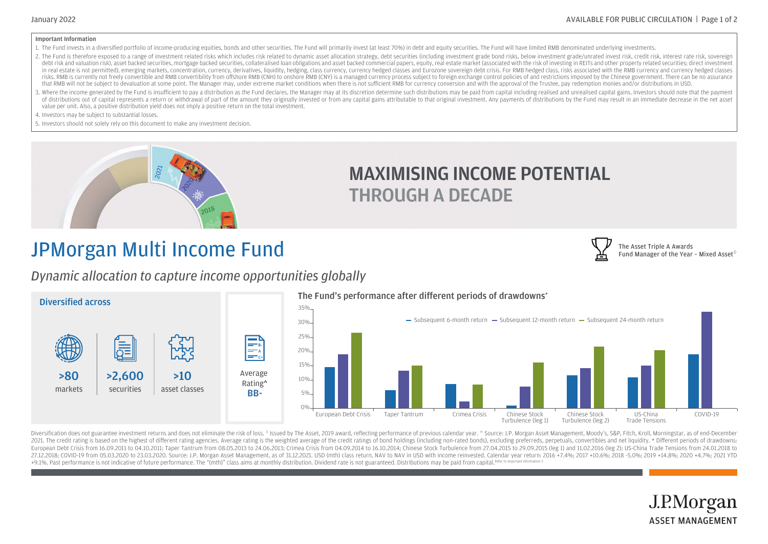The Asset Triple A Awards

Fund Manager of the Year - Mixed Asset $^\diamond$ 

#### Important Information

- 1. The Fund invests in a diversified portfolio of income-producing equities, bonds and other securities. The Fund will primarily invest (at least 70%) in debt and equity securities. The Fund will have limited RMB denominat
- 2. The Fund is therefore exposed to a range of investment related risks which includes risk related to dynamic asset allocation strategy, debt securities (including investment grade bond risks, below investment grade/unrat debt risk and valuation risk), asset backed securities, mortgage backed securities, collateralised loan obligations and asset backed commercial papers, equity, real estate market (associated with the risk of investing in R in real estate is not permitted), emerging markets, concentration, currency, derivatives, liquidity, hedging, class currency, currency hedged classes and Eurozone sovereign debt crisis. For RMB hedged class, risks associat risks. RMB is currently not freely convertible and RMB convertiblity from offshore RMB (CNH) to onshore RMB (CNH) is a managed currency process subject to foreign exchange control policies of and restrictions imposed by th that RMB will not be subject to devaluation at some point. The Manager may, under extreme market conditions when there is not sufficient RMB for currency conversion and with the approval of the Trustee, pay redemption moni
- 3. Where the income generated by the Fund is insufficient to pay a distribution as the Fund declares, the Manager may at its discretion determine such distributions may be paid from capital productions realised capital gai of distributions out of capital represents a return or withdrawal of part of the amount they originally invested or from any capital gains attributable to that original investment. Any payments of distributions by the Fund value per unit. Also, a positive distribution yield does not imply a positive return on the total investment.

4. Investors may be subject to substantial losses.

5. Investors should not solely rely on this document to make any investment decision.



### MAXIMISING INCOME POTENTIAL THROUGH A DECADE

## JPMorgan Multi Income Fund

*Dynamic allocation to capture income opportunities globally*



Diversification does not guarantee investment returns and does not eliminate the risk of loss. <sup>o</sup> Issued by The Asset, 2019 award, reflecting performance of previous calendar year. ^ Source: J.P. Morgan Asset Management, 2021. The credit rating is based on the highest of different rating agencies. Average rating is the weighted average of the credit ratings of bond holdings (including non-rated bonds), excluding preferreds, perpetuals, con European Debt Crisis from 16.09.2011 to 04.10.2011; Taper Tantrum from 08.05.2013 to 24.06.2013; Crimea Crisis from 04.09.2014 to 16.10.2014; Chinese Stock Turbulence from 27.04.2015 to 29.09.2015 (leg 1) and 11.02.2016 (l 27,12.2018; COVID-19 from 05.03.2020 to 23,03.2020. Source: J.P. Morgan Asset Management, as of 31.12.2021. USD (mth) class return, NAV to NAV in USD with income reinvested. Calendar year return: 2016 +7.4%; 2017 +10.6%; 2 +9.1%. Past performance is not indicative of future performance. The "(mth)" class aims at monthly distribution. Dividend rate is not guaranteed. Distributions may be paid from capital.<sup>Refer</sup>